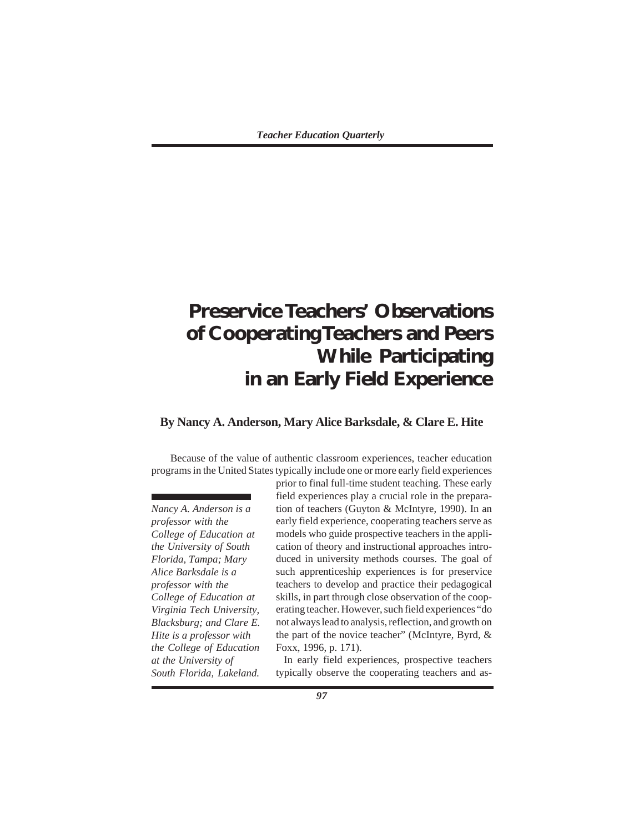# **Preservice Teachers' Observations of Cooperating Teachers and Peers While Participating in an Early Field Experience**

# **By Nancy A. Anderson, Mary Alice Barksdale, & Clare E. Hite**

Because of the value of authentic classroom experiences, teacher education programs in the United States typically include one or more early field experiences

*Nancy A. Anderson is a professor with the College of Education at the University of South Florida, Tampa; Mary Alice Barksdale is a professor with the College of Education at Virginia Tech University, Blacksburg; and Clare E. Hite is a professor with the College of Education at the University of South Florida, Lakeland.*

prior to final full-time student teaching. These early field experiences play a crucial role in the preparation of teachers (Guyton & McIntyre, 1990). In an early field experience, cooperating teachers serve as models who guide prospective teachers in the application of theory and instructional approaches introduced in university methods courses. The goal of such apprenticeship experiences is for preservice teachers to develop and practice their pedagogical skills, in part through close observation of the cooperating teacher. However, such field experiences "do not always lead to analysis, reflection, and growth on the part of the novice teacher" (McIntyre, Byrd, & Foxx, 1996, p. 171).

In early field experiences, prospective teachers typically observe the cooperating teachers and as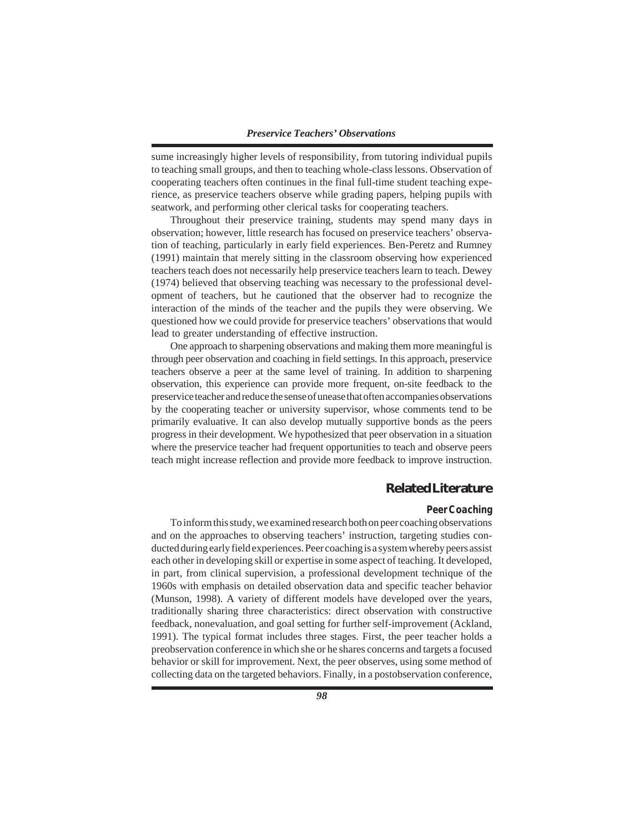sume increasingly higher levels of responsibility, from tutoring individual pupils to teaching small groups, and then to teaching whole-class lessons. Observation of cooperating teachers often continues in the final full-time student teaching experience, as preservice teachers observe while grading papers, helping pupils with seatwork, and performing other clerical tasks for cooperating teachers.

Throughout their preservice training, students may spend many days in observation; however, little research has focused on preservice teachers' observation of teaching, particularly in early field experiences. Ben-Peretz and Rumney (1991) maintain that merely sitting in the classroom observing how experienced teachers teach does not necessarily help preservice teachers learn to teach. Dewey (1974) believed that observing teaching was necessary to the professional development of teachers, but he cautioned that the observer had to recognize the interaction of the minds of the teacher and the pupils they were observing. We questioned how we could provide for preservice teachers' observations that would lead to greater understanding of effective instruction.

One approach to sharpening observations and making them more meaningful is through peer observation and coaching in field settings. In this approach, preservice teachers observe a peer at the same level of training. In addition to sharpening observation, this experience can provide more frequent, on-site feedback to the preservice teacher and reduce the sense of unease that often accompanies observations by the cooperating teacher or university supervisor, whose comments tend to be primarily evaluative. It can also develop mutually supportive bonds as the peers progress in their development. We hypothesized that peer observation in a situation where the preservice teacher had frequent opportunities to teach and observe peers teach might increase reflection and provide more feedback to improve instruction.

# **Related Literature**

## *Peer Coaching*

To inform this study, we examined research both on peer coaching observations and on the approaches to observing teachers' instruction, targeting studies conducted during early field experiences. Peer coaching is a system whereby peers assist each other in developing skill or expertise in some aspect of teaching. It developed, in part, from clinical supervision, a professional development technique of the 1960s with emphasis on detailed observation data and specific teacher behavior (Munson, 1998). A variety of different models have developed over the years, traditionally sharing three characteristics: direct observation with constructive feedback, nonevaluation, and goal setting for further self-improvement (Ackland, 1991). The typical format includes three stages. First, the peer teacher holds a preobservation conference in which she or he shares concerns and targets a focused behavior or skill for improvement. Next, the peer observes, using some method of collecting data on the targeted behaviors. Finally, in a postobservation conference,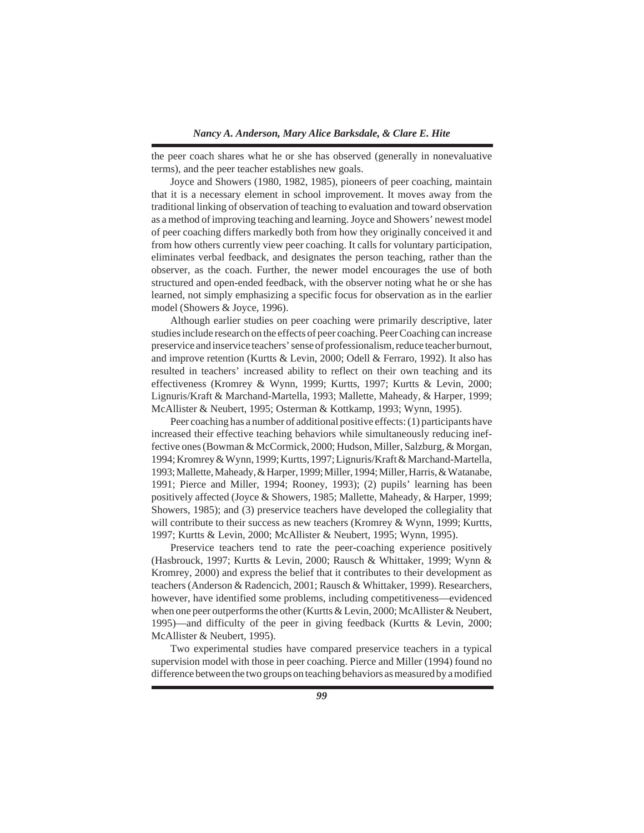the peer coach shares what he or she has observed (generally in nonevaluative terms), and the peer teacher establishes new goals.

Joyce and Showers (1980, 1982, 1985), pioneers of peer coaching, maintain that it is a necessary element in school improvement. It moves away from the traditional linking of observation of teaching to evaluation and toward observation as a method of improving teaching and learning. Joyce and Showers' newest model of peer coaching differs markedly both from how they originally conceived it and from how others currently view peer coaching. It calls for voluntary participation, eliminates verbal feedback, and designates the person teaching, rather than the observer, as the coach. Further, the newer model encourages the use of both structured and open-ended feedback, with the observer noting what he or she has learned, not simply emphasizing a specific focus for observation as in the earlier model (Showers & Joyce, 1996).

Although earlier studies on peer coaching were primarily descriptive, later studies include research on the effects of peer coaching. Peer Coaching can increase preservice and inservice teachers' sense of professionalism, reduce teacher burnout, and improve retention (Kurtts & Levin, 2000; Odell & Ferraro, 1992). It also has resulted in teachers' increased ability to reflect on their own teaching and its effectiveness (Kromrey & Wynn, 1999; Kurtts, 1997; Kurtts & Levin, 2000; Lignuris/Kraft & Marchand-Martella, 1993; Mallette, Maheady, & Harper, 1999; McAllister & Neubert, 1995; Osterman & Kottkamp, 1993; Wynn, 1995).

Peer coaching has a number of additional positive effects: (1) participants have increased their effective teaching behaviors while simultaneously reducing ineffective ones (Bowman & McCormick, 2000; Hudson, Miller, Salzburg, & Morgan, 1994; Kromrey & Wynn, 1999; Kurtts, 1997; Lignuris/Kraft & Marchand-Martella, 1993; Mallette, Maheady, & Harper, 1999; Miller, 1994; Miller, Harris, & Watanabe, 1991; Pierce and Miller, 1994; Rooney, 1993); (2) pupils' learning has been positively affected (Joyce & Showers, 1985; Mallette, Maheady, & Harper, 1999; Showers, 1985); and (3) preservice teachers have developed the collegiality that will contribute to their success as new teachers (Kromrey & Wynn, 1999; Kurtts, 1997; Kurtts & Levin, 2000; McAllister & Neubert, 1995; Wynn, 1995).

Preservice teachers tend to rate the peer-coaching experience positively (Hasbrouck, 1997; Kurtts & Levin, 2000; Rausch & Whittaker, 1999; Wynn & Kromrey, 2000) and express the belief that it contributes to their development as teachers (Anderson & Radencich, 2001; Rausch & Whittaker, 1999). Researchers, however, have identified some problems, including competitiveness—evidenced when one peer outperforms the other (Kurtts  $&$  Levin, 2000; McAllister  $&$  Neubert, 1995)—and difficulty of the peer in giving feedback (Kurtts & Levin, 2000; McAllister & Neubert, 1995).

Two experimental studies have compared preservice teachers in a typical supervision model with those in peer coaching. Pierce and Miller (1994) found no difference between the two groups on teaching behaviors as measured by a modified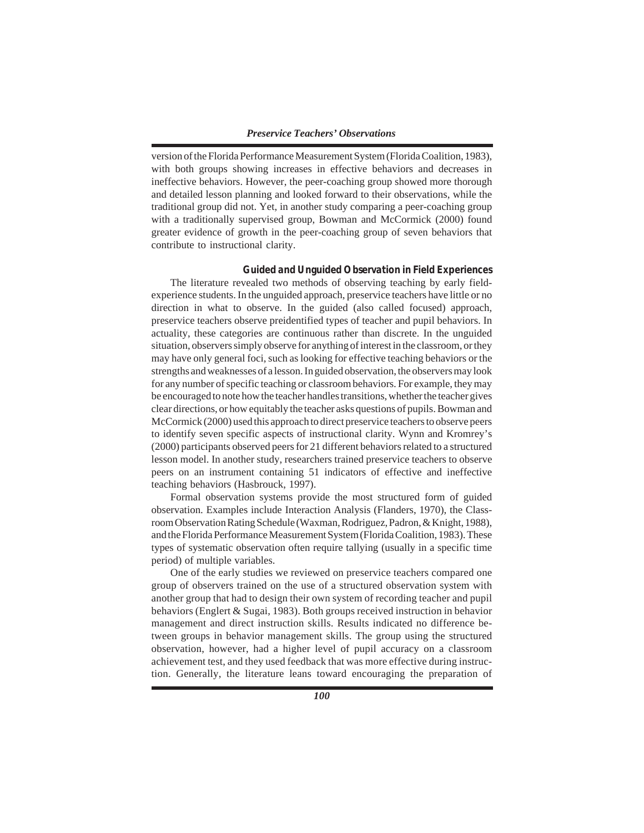version of the Florida Performance Measurement System (Florida Coalition, 1983), with both groups showing increases in effective behaviors and decreases in ineffective behaviors. However, the peer-coaching group showed more thorough and detailed lesson planning and looked forward to their observations, while the traditional group did not. Yet, in another study comparing a peer-coaching group with a traditionally supervised group, Bowman and McCormick (2000) found greater evidence of growth in the peer-coaching group of seven behaviors that contribute to instructional clarity.

#### *Guided and Unguided Observation in Field Experiences*

The literature revealed two methods of observing teaching by early fieldexperience students. In the unguided approach, preservice teachers have little or no direction in what to observe. In the guided (also called focused) approach, preservice teachers observe preidentified types of teacher and pupil behaviors. In actuality, these categories are continuous rather than discrete. In the unguided situation, observers simply observe for anything of interest in the classroom, or they may have only general foci, such as looking for effective teaching behaviors or the strengths and weaknesses of a lesson. In guided observation, the observers may look for any number of specific teaching or classroom behaviors. For example, they may be encouraged to note how the teacher handles transitions, whether the teacher gives clear directions, or how equitably the teacher asks questions of pupils. Bowman and McCormick (2000) used this approach to direct preservice teachers to observe peers to identify seven specific aspects of instructional clarity. Wynn and Kromrey's (2000) participants observed peers for 21 different behaviors related to a structured lesson model. In another study, researchers trained preservice teachers to observe peers on an instrument containing 51 indicators of effective and ineffective teaching behaviors (Hasbrouck, 1997).

Formal observation systems provide the most structured form of guided observation. Examples include Interaction Analysis (Flanders, 1970), the Classroom Observation Rating Schedule (Waxman, Rodriguez, Padron, & Knight, 1988), and the Florida Performance Measurement System (Florida Coalition, 1983). These types of systematic observation often require tallying (usually in a specific time period) of multiple variables.

One of the early studies we reviewed on preservice teachers compared one group of observers trained on the use of a structured observation system with another group that had to design their own system of recording teacher and pupil behaviors (Englert & Sugai, 1983). Both groups received instruction in behavior management and direct instruction skills. Results indicated no difference between groups in behavior management skills. The group using the structured observation, however, had a higher level of pupil accuracy on a classroom achievement test, and they used feedback that was more effective during instruction. Generally, the literature leans toward encouraging the preparation of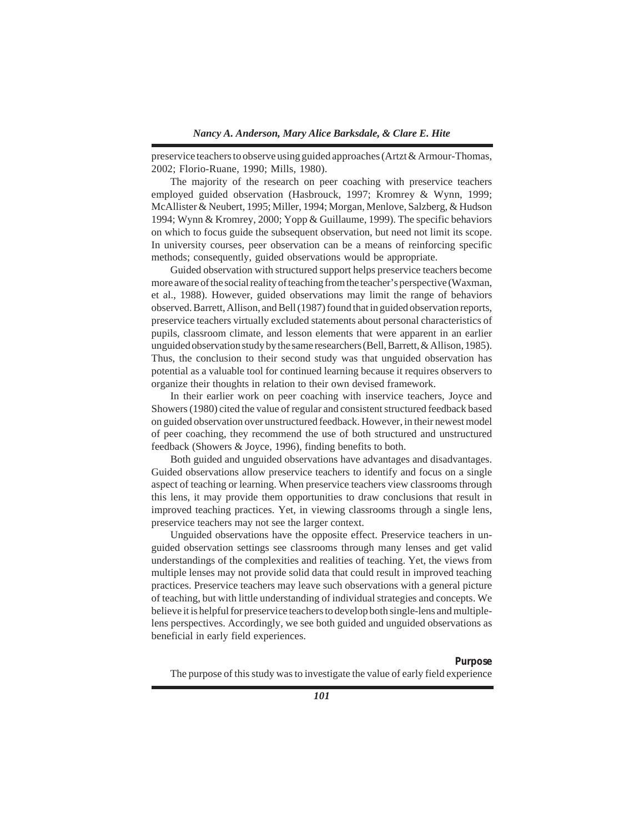preservice teachers to observe using guided approaches (Artzt & Armour-Thomas, 2002; Florio-Ruane, 1990; Mills, 1980).

The majority of the research on peer coaching with preservice teachers employed guided observation (Hasbrouck, 1997; Kromrey & Wynn, 1999; McAllister & Neubert, 1995; Miller, 1994; Morgan, Menlove, Salzberg, & Hudson 1994; Wynn & Kromrey, 2000; Yopp & Guillaume, 1999). The specific behaviors on which to focus guide the subsequent observation, but need not limit its scope. In university courses, peer observation can be a means of reinforcing specific methods; consequently, guided observations would be appropriate.

Guided observation with structured support helps preservice teachers become more aware of the social reality of teaching from the teacher's perspective (Waxman, et al., 1988). However, guided observations may limit the range of behaviors observed. Barrett, Allison, and Bell (1987) found that in guided observation reports, preservice teachers virtually excluded statements about personal characteristics of pupils, classroom climate, and lesson elements that were apparent in an earlier unguided observation study by the same researchers (Bell, Barrett,  $\&$  Allison, 1985). Thus, the conclusion to their second study was that unguided observation has potential as a valuable tool for continued learning because it requires observers to organize their thoughts in relation to their own devised framework.

In their earlier work on peer coaching with inservice teachers, Joyce and Showers (1980) cited the value of regular and consistent structured feedback based on guided observation over unstructured feedback. However, in their newest model of peer coaching, they recommend the use of both structured and unstructured feedback (Showers & Joyce, 1996), finding benefits to both.

Both guided and unguided observations have advantages and disadvantages. Guided observations allow preservice teachers to identify and focus on a single aspect of teaching or learning. When preservice teachers view classrooms through this lens, it may provide them opportunities to draw conclusions that result in improved teaching practices. Yet, in viewing classrooms through a single lens, preservice teachers may not see the larger context.

Unguided observations have the opposite effect. Preservice teachers in unguided observation settings see classrooms through many lenses and get valid understandings of the complexities and realities of teaching. Yet, the views from multiple lenses may not provide solid data that could result in improved teaching practices. Preservice teachers may leave such observations with a general picture of teaching, but with little understanding of individual strategies and concepts. We believe it is helpful for preservice teachers to develop both single-lens and multiplelens perspectives. Accordingly, we see both guided and unguided observations as beneficial in early field experiences.

#### *Purpose*

The purpose of this study was to investigate the value of early field experience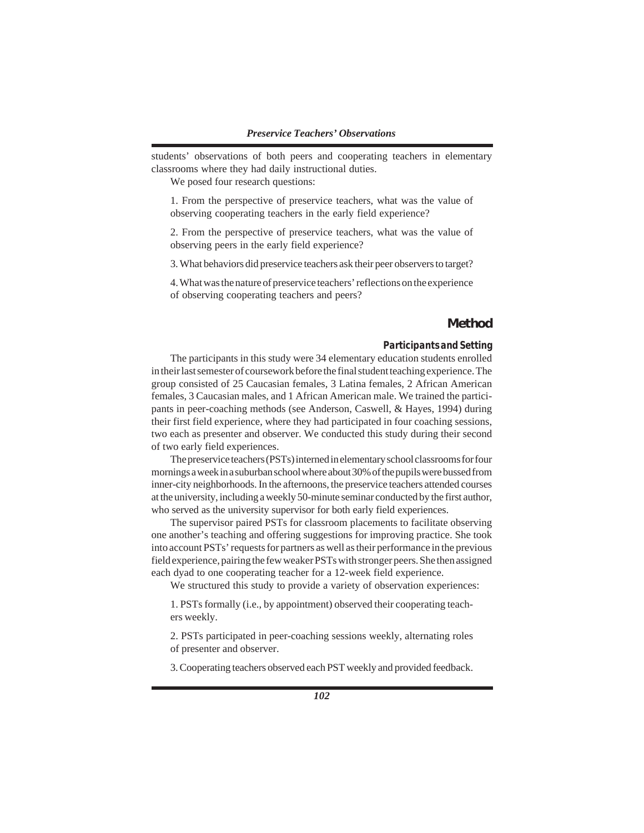students' observations of both peers and cooperating teachers in elementary classrooms where they had daily instructional duties.

We posed four research questions:

1. From the perspective of preservice teachers, what was the value of observing cooperating teachers in the early field experience?

2. From the perspective of preservice teachers, what was the value of observing peers in the early field experience?

3. What behaviors did preservice teachers ask their peer observers to target?

4. What was the nature of preservice teachers' reflections on the experience of observing cooperating teachers and peers?

# **Method**

### *Participants and Setting*

The participants in this study were 34 elementary education students enrolled in their last semester of coursework before the final student teaching experience. The group consisted of 25 Caucasian females, 3 Latina females, 2 African American females, 3 Caucasian males, and 1 African American male. We trained the participants in peer-coaching methods (see Anderson, Caswell, & Hayes, 1994) during their first field experience, where they had participated in four coaching sessions, two each as presenter and observer. We conducted this study during their second of two early field experiences.

The preservice teachers (PSTs) interned in elementary school classrooms for four mornings a week in a suburban school where about 30% of the pupils were bussed from inner-city neighborhoods. In the afternoons, the preservice teachers attended courses at the university, including a weekly 50-minute seminar conducted by the first author, who served as the university supervisor for both early field experiences.

The supervisor paired PSTs for classroom placements to facilitate observing one another's teaching and offering suggestions for improving practice. She took into account PSTs' requests for partners as well as their performance in the previous field experience, pairing the few weaker PSTs with stronger peers. She then assigned each dyad to one cooperating teacher for a 12-week field experience.

We structured this study to provide a variety of observation experiences:

1. PSTs formally (i.e., by appointment) observed their cooperating teachers weekly.

2. PSTs participated in peer-coaching sessions weekly, alternating roles of presenter and observer.

3. Cooperating teachers observed each PST weekly and provided feedback.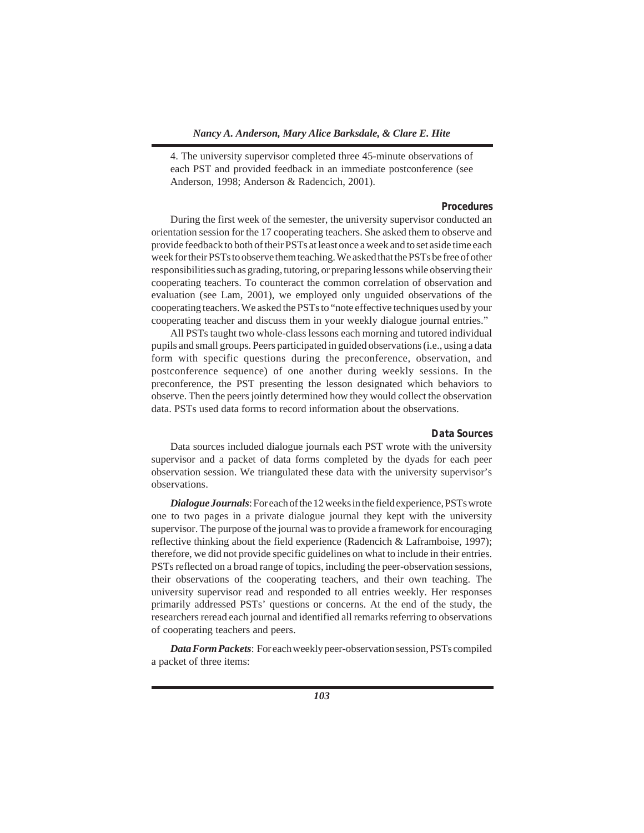4. The university supervisor completed three 45-minute observations of each PST and provided feedback in an immediate postconference (see Anderson, 1998; Anderson & Radencich, 2001).

## *Procedures*

During the first week of the semester, the university supervisor conducted an orientation session for the 17 cooperating teachers. She asked them to observe and provide feedback to both of their PSTs at least once a week and to set aside time each week for their PSTs to observe them teaching. We asked that the PSTs be free of other responsibilities such as grading, tutoring, or preparing lessons while observing their cooperating teachers. To counteract the common correlation of observation and evaluation (see Lam, 2001), we employed only unguided observations of the cooperating teachers. We asked the PSTs to "note effective techniques used by your cooperating teacher and discuss them in your weekly dialogue journal entries."

All PSTs taught two whole-class lessons each morning and tutored individual pupils and small groups. Peers participated in guided observations (i.e., using a data form with specific questions during the preconference, observation, and postconference sequence) of one another during weekly sessions. In the preconference, the PST presenting the lesson designated which behaviors to observe. Then the peers jointly determined how they would collect the observation data. PSTs used data forms to record information about the observations.

#### *Data Sources*

Data sources included dialogue journals each PST wrote with the university supervisor and a packet of data forms completed by the dyads for each peer observation session. We triangulated these data with the university supervisor's observations.

*Dialogue Journals*: For each of the 12 weeks in the field experience, PSTs wrote one to two pages in a private dialogue journal they kept with the university supervisor. The purpose of the journal was to provide a framework for encouraging reflective thinking about the field experience (Radencich & Laframboise, 1997); therefore, we did not provide specific guidelines on what to include in their entries. PSTs reflected on a broad range of topics, including the peer-observation sessions, their observations of the cooperating teachers, and their own teaching. The university supervisor read and responded to all entries weekly. Her responses primarily addressed PSTs' questions or concerns. At the end of the study, the researchers reread each journal and identified all remarks referring to observations of cooperating teachers and peers.

*Data Form Packets*: For each weekly peer-observation session, PSTs compiled a packet of three items: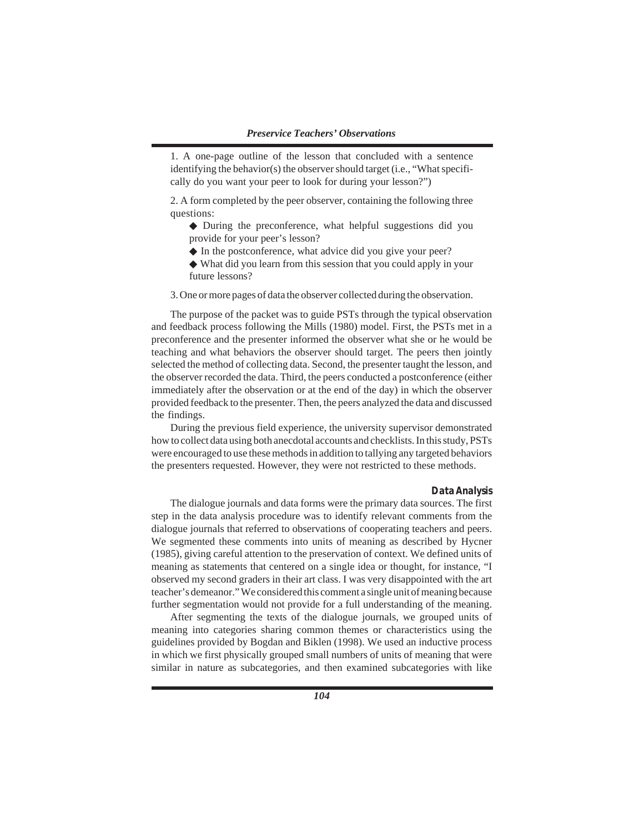1. A one-page outline of the lesson that concluded with a sentence identifying the behavior(s) the observer should target (i.e., "What specifically do you want your peer to look for during your lesson?")

2. A form completed by the peer observer, containing the following three questions:

- ◆ During the preconference, what helpful suggestions did you provide for your peer's lesson?
- ◆ In the postconference, what advice did you give your peer?
- ◆ What did you learn from this session that you could apply in your future lessons?
- 3. One or more pages of data the observer collected during the observation.

The purpose of the packet was to guide PSTs through the typical observation and feedback process following the Mills (1980) model. First, the PSTs met in a preconference and the presenter informed the observer what she or he would be teaching and what behaviors the observer should target. The peers then jointly selected the method of collecting data. Second, the presenter taught the lesson, and the observer recorded the data. Third, the peers conducted a postconference (either immediately after the observation or at the end of the day) in which the observer provided feedback to the presenter. Then, the peers analyzed the data and discussed the findings.

During the previous field experience, the university supervisor demonstrated how to collect data using both anecdotal accounts and checklists. In this study, PSTs were encouraged to use these methods in addition to tallying any targeted behaviors the presenters requested. However, they were not restricted to these methods.

#### *Data Analysis*

The dialogue journals and data forms were the primary data sources. The first step in the data analysis procedure was to identify relevant comments from the dialogue journals that referred to observations of cooperating teachers and peers. We segmented these comments into units of meaning as described by Hycner (1985), giving careful attention to the preservation of context. We defined units of meaning as statements that centered on a single idea or thought, for instance, "I observed my second graders in their art class. I was very disappointed with the art teacher's demeanor." We considered this comment a single unit of meaning because further segmentation would not provide for a full understanding of the meaning.

After segmenting the texts of the dialogue journals, we grouped units of meaning into categories sharing common themes or characteristics using the guidelines provided by Bogdan and Biklen (1998). We used an inductive process in which we first physically grouped small numbers of units of meaning that were similar in nature as subcategories, and then examined subcategories with like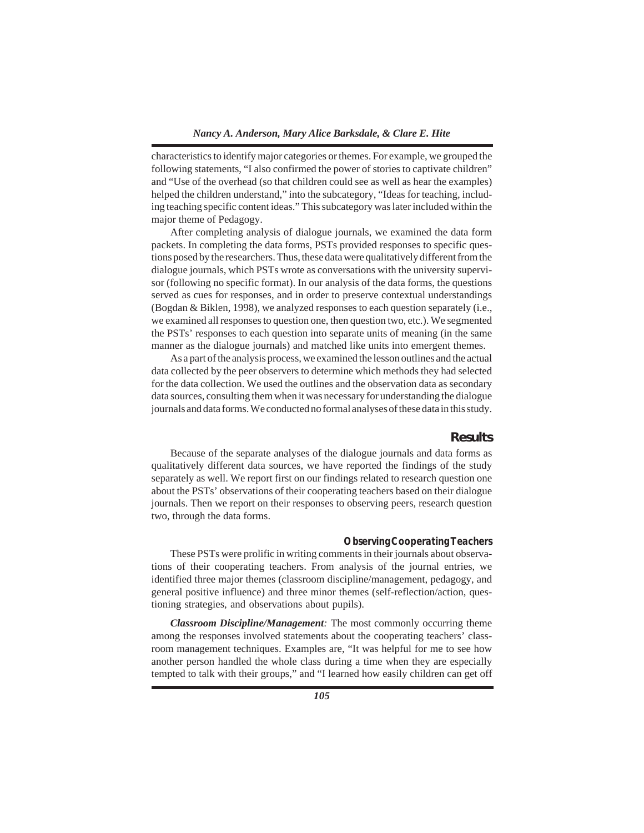characteristics to identify major categories or themes. For example, we grouped the following statements, "I also confirmed the power of stories to captivate children" and "Use of the overhead (so that children could see as well as hear the examples) helped the children understand," into the subcategory, "Ideas for teaching, including teaching specific content ideas." This subcategory was later included within the major theme of Pedagogy.

After completing analysis of dialogue journals, we examined the data form packets. In completing the data forms, PSTs provided responses to specific questions posed by the researchers. Thus, these data were qualitatively different from the dialogue journals, which PSTs wrote as conversations with the university supervisor (following no specific format). In our analysis of the data forms, the questions served as cues for responses, and in order to preserve contextual understandings (Bogdan & Biklen, 1998), we analyzed responses to each question separately (i.e., we examined all responses to question one, then question two, etc.). We segmented the PSTs' responses to each question into separate units of meaning (in the same manner as the dialogue journals) and matched like units into emergent themes.

As a part of the analysis process, we examined the lesson outlines and the actual data collected by the peer observers to determine which methods they had selected for the data collection. We used the outlines and the observation data as secondary data sources, consulting them when it was necessary for understanding the dialogue journals and data forms. We conducted no formal analyses of these data in this study.

#### **Results**

Because of the separate analyses of the dialogue journals and data forms as qualitatively different data sources, we have reported the findings of the study separately as well. We report first on our findings related to research question one about the PSTs' observations of their cooperating teachers based on their dialogue journals. Then we report on their responses to observing peers, research question two, through the data forms.

## *Observing Cooperating Teachers*

These PSTs were prolific in writing comments in their journals about observations of their cooperating teachers. From analysis of the journal entries, we identified three major themes (classroom discipline/management, pedagogy, and general positive influence) and three minor themes (self-reflection/action, questioning strategies, and observations about pupils).

*Classroom Discipline/Management:* The most commonly occurring theme among the responses involved statements about the cooperating teachers' classroom management techniques. Examples are, "It was helpful for me to see how another person handled the whole class during a time when they are especially tempted to talk with their groups," and "I learned how easily children can get off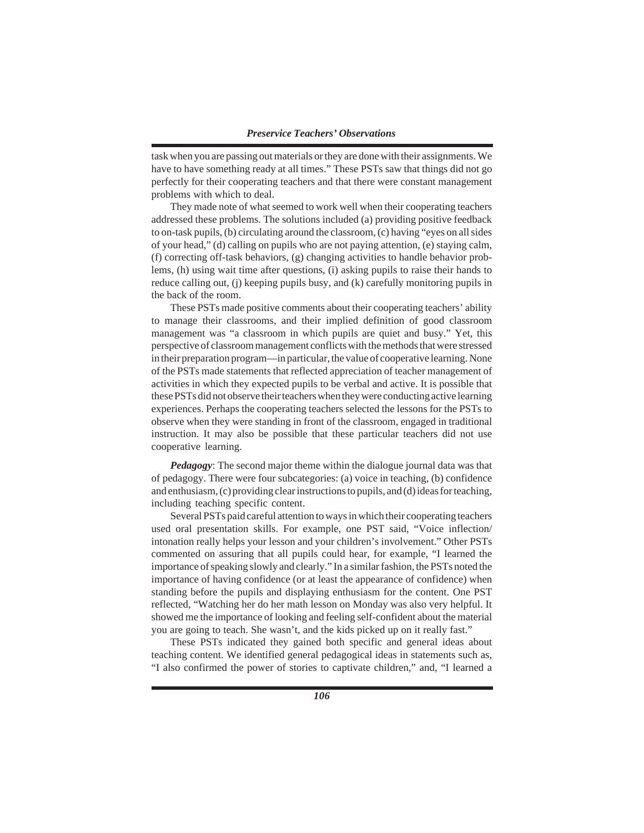task when you are passing out materials or they are done with their assignments. We have to have something ready at all times." These PSTs saw that things did not go perfectly for their cooperating teachers and that there were constant management problems with which to deal.

They made note of what seemed to work well when their cooperating teachers addressed these problems. The solutions included (a) providing positive feedback to on-task pupils, (b) circulating around the classroom, (c) having "eyes on all sides of your head," (d) calling on pupils who are not paying attention, (e) staying calm, (f) correcting off-task behaviors, (g) changing activities to handle behavior problems, (h) using wait time after questions, (i) asking pupils to raise their hands to reduce calling out, (j) keeping pupils busy, and (k) carefully monitoring pupils in the back of the room.

These PSTs made positive comments about their cooperating teachers' ability to manage their classrooms, and their implied definition of good classroom management was "a classroom in which pupils are quiet and busy." Yet, this perspective of classroom management conflicts with the methods that were stressed in their preparation program—in particular, the value of cooperative learning. None of the PSTs made statements that reflected appreciation of teacher management of activities in which they expected pupils to be verbal and active. It is possible that these PSTs did not observe their teachers when they were conducting active learning experiences. Perhaps the cooperating teachers selected the lessons for the PSTs to observe when they were standing in front of the classroom, engaged in traditional instruction. It may also be possible that these particular teachers did not use cooperative learning.

*Pedagogy*: The second major theme within the dialogue journal data was that of pedagogy. There were four subcategories: (a) voice in teaching, (b) confidence and enthusiasm, (c) providing clear instructions to pupils, and (d) ideas for teaching, including teaching specific content.

Several PSTs paid careful attention to ways in which their cooperating teachers used oral presentation skills. For example, one PST said, "Voice inflection/ intonation really helps your lesson and your children's involvement." Other PSTs commented on assuring that all pupils could hear, for example, "I learned the importance of speaking slowly and clearly." In a similar fashion, the PSTs noted the importance of having confidence (or at least the appearance of confidence) when standing before the pupils and displaying enthusiasm for the content. One PST reflected, "Watching her do her math lesson on Monday was also very helpful. It showed me the importance of looking and feeling self-confident about the material you are going to teach. She wasn't, and the kids picked up on it really fast."

These PSTs indicated they gained both specific and general ideas about teaching content. We identified general pedagogical ideas in statements such as, "I also confirmed the power of stories to captivate children," and, "I learned a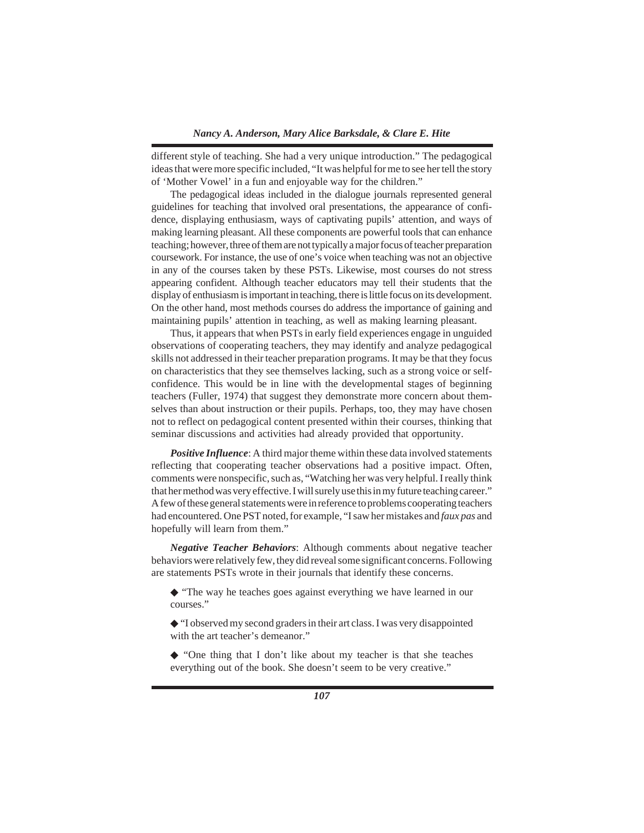different style of teaching. She had a very unique introduction." The pedagogical ideas that were more specific included, "It was helpful for me to see her tell the story of 'Mother Vowel' in a fun and enjoyable way for the children."

The pedagogical ideas included in the dialogue journals represented general guidelines for teaching that involved oral presentations, the appearance of confidence, displaying enthusiasm, ways of captivating pupils' attention, and ways of making learning pleasant. All these components are powerful tools that can enhance teaching; however, three of them are not typically a major focus of teacher preparation coursework. For instance, the use of one's voice when teaching was not an objective in any of the courses taken by these PSTs. Likewise, most courses do not stress appearing confident. Although teacher educators may tell their students that the display of enthusiasm is important in teaching, there is little focus on its development. On the other hand, most methods courses do address the importance of gaining and maintaining pupils' attention in teaching, as well as making learning pleasant.

Thus, it appears that when PSTs in early field experiences engage in unguided observations of cooperating teachers, they may identify and analyze pedagogical skills not addressed in their teacher preparation programs. It may be that they focus on characteristics that they see themselves lacking, such as a strong voice or selfconfidence. This would be in line with the developmental stages of beginning teachers (Fuller, 1974) that suggest they demonstrate more concern about themselves than about instruction or their pupils. Perhaps, too, they may have chosen not to reflect on pedagogical content presented within their courses, thinking that seminar discussions and activities had already provided that opportunity.

*Positive Influence*: A third major theme within these data involved statements reflecting that cooperating teacher observations had a positive impact. Often, comments were nonspecific, such as, "Watching her was very helpful. I really think that her method was very effective. I will surely use this in my future teaching career." A few of these general statements were in reference to problems cooperating teachers had encountered. One PST noted, for example, "I saw her mistakes and *faux pas* and hopefully will learn from them."

*Negative Teacher Behaviors*: Although comments about negative teacher behaviors were relatively few, they did reveal some significant concerns. Following are statements PSTs wrote in their journals that identify these concerns.

◆ "The way he teaches goes against everything we have learned in our courses."

◆ "I observed my second graders in their art class. I was very disappointed with the art teacher's demeanor."

◆ "One thing that I don't like about my teacher is that she teaches everything out of the book. She doesn't seem to be very creative."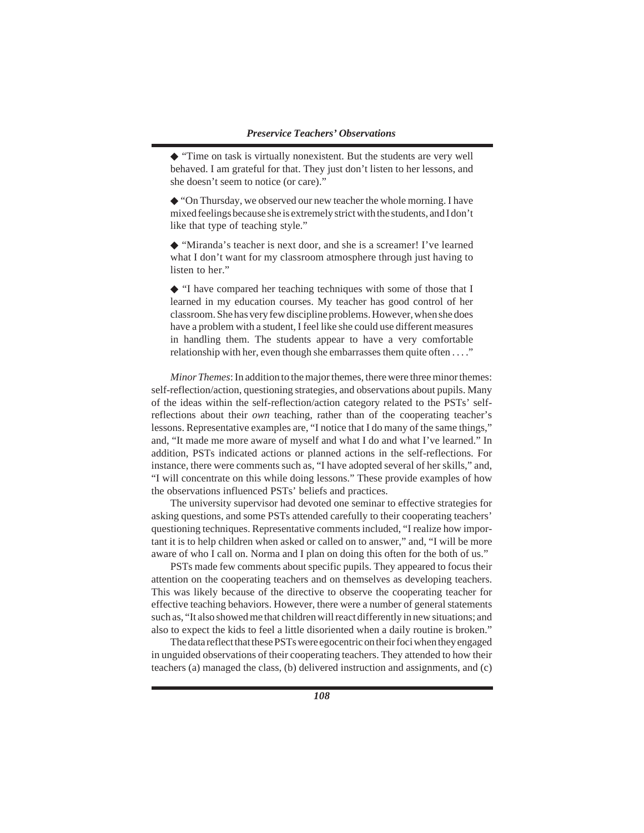◆ "Time on task is virtually nonexistent. But the students are very well behaved. I am grateful for that. They just don't listen to her lessons, and she doesn't seem to notice (or care)."

◆ "On Thursday, we observed our new teacher the whole morning. I have mixed feelings because she is extremely strict with the students, and I don't like that type of teaching style."

◆ "Miranda's teacher is next door, and she is a screamer! I've learned what I don't want for my classroom atmosphere through just having to listen to her."

◆ "I have compared her teaching techniques with some of those that I learned in my education courses. My teacher has good control of her classroom. She has very few discipline problems. However, when she does have a problem with a student, I feel like she could use different measures in handling them. The students appear to have a very comfortable relationship with her, even though she embarrasses them quite often . . . ."

*Minor Themes*: In addition to the major themes, there were three minor themes: self-reflection/action, questioning strategies, and observations about pupils. Many of the ideas within the self-reflection/action category related to the PSTs' selfreflections about their *own* teaching, rather than of the cooperating teacher's lessons. Representative examples are, "I notice that I do many of the same things," and, "It made me more aware of myself and what I do and what I've learned." In addition, PSTs indicated actions or planned actions in the self-reflections. For instance, there were comments such as, "I have adopted several of her skills," and, "I will concentrate on this while doing lessons." These provide examples of how the observations influenced PSTs' beliefs and practices.

The university supervisor had devoted one seminar to effective strategies for asking questions, and some PSTs attended carefully to their cooperating teachers' questioning techniques. Representative comments included, "I realize how important it is to help children when asked or called on to answer," and, "I will be more aware of who I call on. Norma and I plan on doing this often for the both of us."

PSTs made few comments about specific pupils. They appeared to focus their attention on the cooperating teachers and on themselves as developing teachers. This was likely because of the directive to observe the cooperating teacher for effective teaching behaviors. However, there were a number of general statements such as, "It also showed me that children will react differently in new situations; and also to expect the kids to feel a little disoriented when a daily routine is broken."

The data reflect that these PSTs were egocentric on their foci when they engaged in unguided observations of their cooperating teachers. They attended to how their teachers (a) managed the class, (b) delivered instruction and assignments, and (c)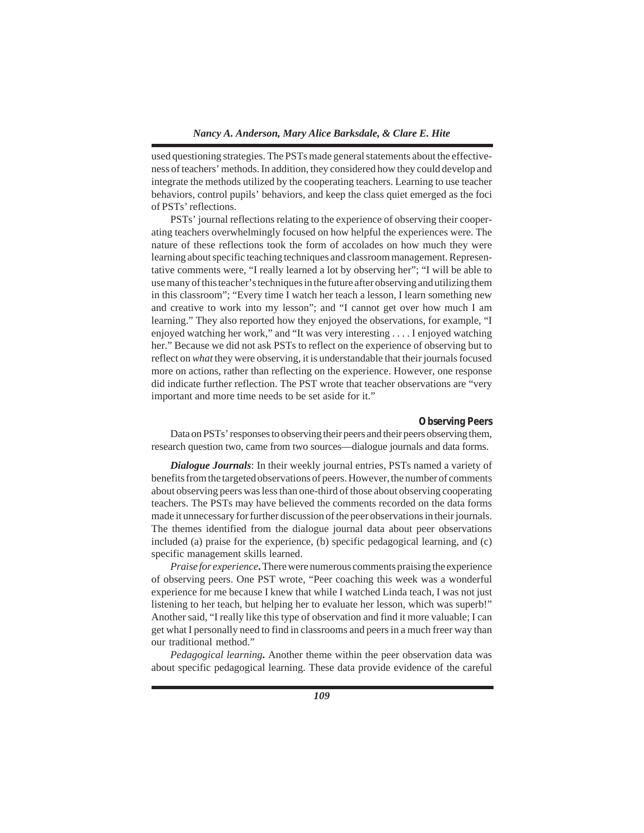used questioning strategies. The PSTs made general statements about the effectiveness of teachers' methods. In addition, they considered how they could develop and integrate the methods utilized by the cooperating teachers. Learning to use teacher behaviors, control pupils' behaviors, and keep the class quiet emerged as the foci of PSTs' reflections.

PSTs' journal reflections relating to the experience of observing their cooperating teachers overwhelmingly focused on how helpful the experiences were. The nature of these reflections took the form of accolades on how much they were learning about specific teaching techniques and classroom management. Representative comments were, "I really learned a lot by observing her"; "I will be able to use many of this teacher's techniques in the future after observing and utilizing them in this classroom"; "Every time I watch her teach a lesson, I learn something new and creative to work into my lesson"; and "I cannot get over how much I am learning." They also reported how they enjoyed the observations, for example, "I enjoyed watching her work," and "It was very interesting . . . . I enjoyed watching her." Because we did not ask PSTs to reflect on the experience of observing but to reflect on *what* they were observing, it is understandable that their journals focused more on actions, rather than reflecting on the experience. However, one response did indicate further reflection. The PST wrote that teacher observations are "very important and more time needs to be set aside for it."

#### *Observing Peers*

Data on PSTs' responses to observing their peers and their peers observing them, research question two, came from two sources—dialogue journals and data forms.

*Dialogue Journals*: In their weekly journal entries, PSTs named a variety of benefits from the targeted observations of peers. However, the number of comments about observing peers was less than one-third of those about observing cooperating teachers. The PSTs may have believed the comments recorded on the data forms made it unnecessary for further discussion of the peer observations in their journals. The themes identified from the dialogue journal data about peer observations included (a) praise for the experience, (b) specific pedagogical learning, and (c) specific management skills learned.

*Praise for experience***.** There were numerous comments praising the experience of observing peers. One PST wrote, "Peer coaching this week was a wonderful experience for me because I knew that while I watched Linda teach, I was not just listening to her teach, but helping her to evaluate her lesson, which was superb!" Another said, "I really like this type of observation and find it more valuable; I can get what I personally need to find in classrooms and peers in a much freer way than our traditional method."

*Pedagogical learning***.** Another theme within the peer observation data was about specific pedagogical learning. These data provide evidence of the careful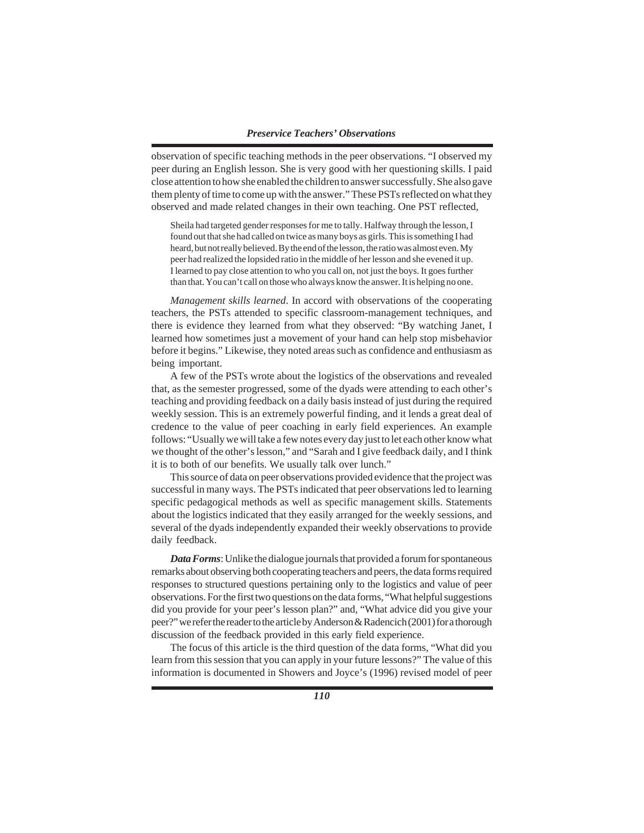observation of specific teaching methods in the peer observations. "I observed my peer during an English lesson. She is very good with her questioning skills. I paid close attention to how she enabled the children to answer successfully. She also gave them plenty of time to come up with the answer." These PSTs reflected on what they observed and made related changes in their own teaching. One PST reflected,

Sheila had targeted gender responses for me to tally. Halfway through the lesson, I found out that she had called on twice as many boys as girls. This is something I had heard, but not really believed. By the end of the lesson, the ratio was almost even. My peer had realized the lopsided ratio in the middle of her lesson and she evened it up. I learned to pay close attention to who you call on, not just the boys. It goes further than that. You can't call on those who always know the answer. It is helping no one.

*Management skills learned*. In accord with observations of the cooperating teachers, the PSTs attended to specific classroom-management techniques, and there is evidence they learned from what they observed: "By watching Janet, I learned how sometimes just a movement of your hand can help stop misbehavior before it begins." Likewise, they noted areas such as confidence and enthusiasm as being important.

A few of the PSTs wrote about the logistics of the observations and revealed that, as the semester progressed, some of the dyads were attending to each other's teaching and providing feedback on a daily basis instead of just during the required weekly session. This is an extremely powerful finding, and it lends a great deal of credence to the value of peer coaching in early field experiences. An example follows: "Usually we will take a few notes every day just to let each other know what we thought of the other's lesson," and "Sarah and I give feedback daily, and I think it is to both of our benefits. We usually talk over lunch."

This source of data on peer observations provided evidence that the project was successful in many ways. The PSTs indicated that peer observations led to learning specific pedagogical methods as well as specific management skills. Statements about the logistics indicated that they easily arranged for the weekly sessions, and several of the dyads independently expanded their weekly observations to provide daily feedback.

*Data Forms*: Unlike the dialogue journals that provided a forum for spontaneous remarks about observing both cooperating teachers and peers, the data forms required responses to structured questions pertaining only to the logistics and value of peer observations. For the first two questions on the data forms, "What helpful suggestions did you provide for your peer's lesson plan?" and, "What advice did you give your peer?" we refer the reader to the article by Anderson & Radencich (2001) for a thorough discussion of the feedback provided in this early field experience.

The focus of this article is the third question of the data forms, "What did you learn from this session that you can apply in your future lessons?" The value of this information is documented in Showers and Joyce's (1996) revised model of peer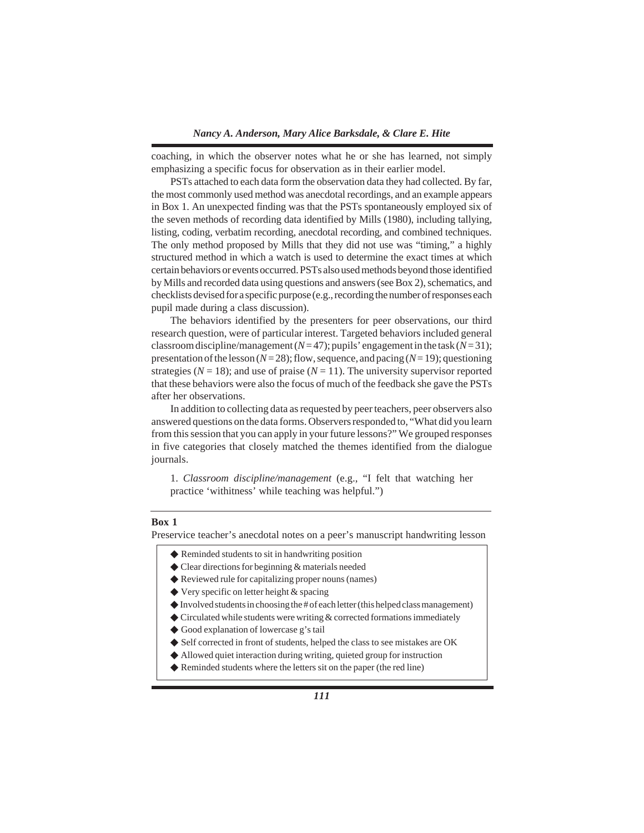coaching, in which the observer notes what he or she has learned, not simply emphasizing a specific focus for observation as in their earlier model.

PSTs attached to each data form the observation data they had collected. By far, the most commonly used method was anecdotal recordings, and an example appears in Box 1. An unexpected finding was that the PSTs spontaneously employed six of the seven methods of recording data identified by Mills (1980), including tallying, listing, coding, verbatim recording, anecdotal recording, and combined techniques. The only method proposed by Mills that they did not use was "timing," a highly structured method in which a watch is used to determine the exact times at which certain behaviors or events occurred. PSTs also used methods beyond those identified by Mills and recorded data using questions and answers (see Box 2), schematics, and checklists devised for a specific purpose (e.g., recording the number of responses each pupil made during a class discussion).

The behaviors identified by the presenters for peer observations, our third research question, were of particular interest. Targeted behaviors included general classroom discipline/management ( $N=47$ ); pupils' engagement in the task ( $N=31$ ); presentation of the lesson (*N* = 28); flow, sequence, and pacing (*N* = 19); questioning strategies ( $N = 18$ ); and use of praise ( $N = 11$ ). The university supervisor reported that these behaviors were also the focus of much of the feedback she gave the PSTs after her observations.

In addition to collecting data as requested by peer teachers, peer observers also answered questions on the data forms. Observers responded to, "What did you learn from this session that you can apply in your future lessons?" We grouped responses in five categories that closely matched the themes identified from the dialogue journals.

1. *Classroom discipline/management* (e.g., "I felt that watching her practice 'withitness' while teaching was helpful.")

# **Box 1**

Preservice teacher's anecdotal notes on a peer's manuscript handwriting lesson

- ◆ Reminded students to sit in handwriting position
- ◆ Clear directions for beginning & materials needed
- ◆ Reviewed rule for capitalizing proper nouns (names)
- ◆ Very specific on letter height & spacing
- $\blacklozenge$  Involved students in choosing the # of each letter (this helped class management)
- $\blacklozenge$  Circulated while students were writing  $\&$  corrected formations immediately
- ◆ Good explanation of lowercase g's tail
- ◆ Self corrected in front of students, helped the class to see mistakes are OK
- ◆ Allowed quiet interaction during writing, quieted group for instruction
- ◆ Reminded students where the letters sit on the paper (the red line)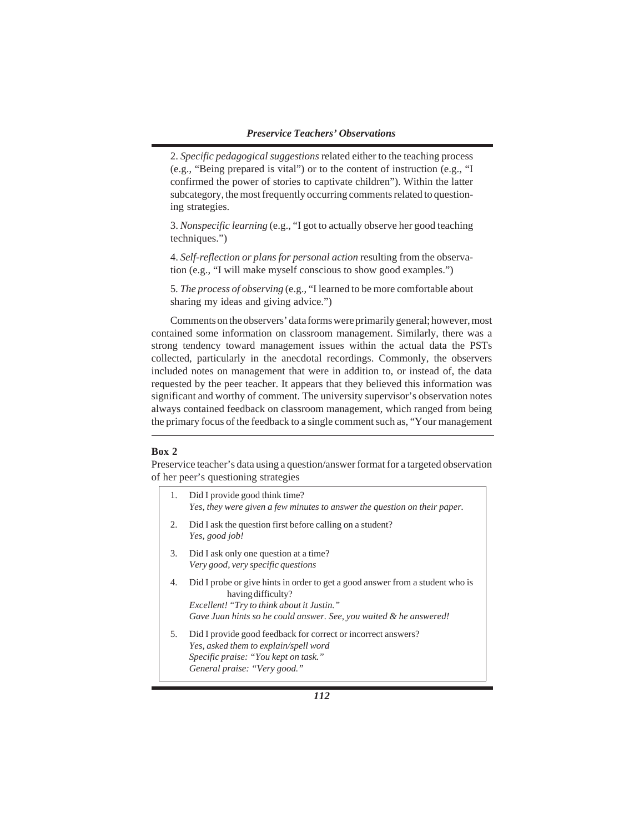2. *Specific pedagogical suggestions* related either to the teaching process (e.g., "Being prepared is vital") or to the content of instruction (e.g., "I confirmed the power of stories to captivate children"). Within the latter subcategory, the most frequently occurring comments related to questioning strategies.

3. *Nonspecific learning* (e.g., "I got to actually observe her good teaching techniques.")

4. *Self-reflection or plans for personal action* resulting from the observation (e.g., "I will make myself conscious to show good examples.")

5. *The process of observing* (e.g., "I learned to be more comfortable about sharing my ideas and giving advice.")

Comments on the observers' data forms were primarily general; however, most contained some information on classroom management. Similarly, there was a strong tendency toward management issues within the actual data the PSTs collected, particularly in the anecdotal recordings. Commonly, the observers included notes on management that were in addition to, or instead of, the data requested by the peer teacher. It appears that they believed this information was significant and worthy of comment. The university supervisor's observation notes always contained feedback on classroom management, which ranged from being the primary focus of the feedback to a single comment such as, "Your management

## **Box 2**

Preservice teacher's data using a question/answer format for a targeted observation of her peer's questioning strategies

| 1. | Did I provide good think time?<br>Yes, they were given a few minutes to answer the question on their paper.                                                                                                             |
|----|-------------------------------------------------------------------------------------------------------------------------------------------------------------------------------------------------------------------------|
| 2. | Did I ask the question first before calling on a student?<br>Yes, good job!                                                                                                                                             |
| 3. | Did I ask only one question at a time?<br>Very good, very specific questions                                                                                                                                            |
| 4. | Did I probe or give hints in order to get a good answer from a student who is<br>having difficulty?<br>Excellent! "Try to think about it Justin."<br>Gave Juan hints so he could answer. See, you waited & he answered! |
| 5. | Did I provide good feedback for correct or incorrect answers?<br>Yes, asked them to explain/spell word<br>Specific praise: "You kept on task."<br>General praise: "Very good."                                          |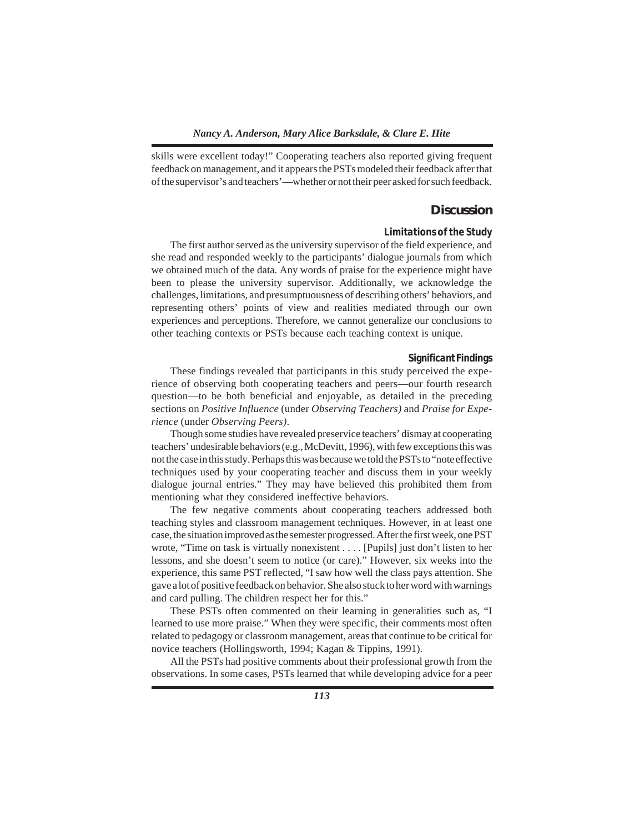skills were excellent today!" Cooperating teachers also reported giving frequent feedback on management, and it appears the PSTs modeled their feedback after that of the supervisor's and teachers'—whether or not their peer asked for such feedback.

# **Discussion**

# *Limitations of the Study*

The first author served as the university supervisor of the field experience, and she read and responded weekly to the participants' dialogue journals from which we obtained much of the data. Any words of praise for the experience might have been to please the university supervisor. Additionally, we acknowledge the challenges, limitations, and presumptuousness of describing others' behaviors, and representing others' points of view and realities mediated through our own experiences and perceptions. Therefore, we cannot generalize our conclusions to other teaching contexts or PSTs because each teaching context is unique.

#### *Significant Findings*

These findings revealed that participants in this study perceived the experience of observing both cooperating teachers and peers—our fourth research question—to be both beneficial and enjoyable, as detailed in the preceding sections on *Positive Influence* (under *Observing Teachers)* and *Praise for Experience* (under *Observing Peers)*.

Though some studies have revealed preservice teachers' dismay at cooperating teachers' undesirable behaviors (e.g., McDevitt, 1996), with few exceptions this was not the case in this study. Perhaps this was because we told the PSTs to "note effective techniques used by your cooperating teacher and discuss them in your weekly dialogue journal entries." They may have believed this prohibited them from mentioning what they considered ineffective behaviors.

The few negative comments about cooperating teachers addressed both teaching styles and classroom management techniques. However, in at least one case, the situation improved as the semester progressed. After the first week, one PST wrote, "Time on task is virtually nonexistent . . . . [Pupils] just don't listen to her lessons, and she doesn't seem to notice (or care)." However, six weeks into the experience, this same PST reflected, "I saw how well the class pays attention. She gave a lot of positive feedback on behavior. She also stuck to her word with warnings and card pulling. The children respect her for this."

These PSTs often commented on their learning in generalities such as, "I learned to use more praise." When they were specific, their comments most often related to pedagogy or classroom management, areas that continue to be critical for novice teachers (Hollingsworth, 1994; Kagan & Tippins, 1991).

All the PSTs had positive comments about their professional growth from the observations. In some cases, PSTs learned that while developing advice for a peer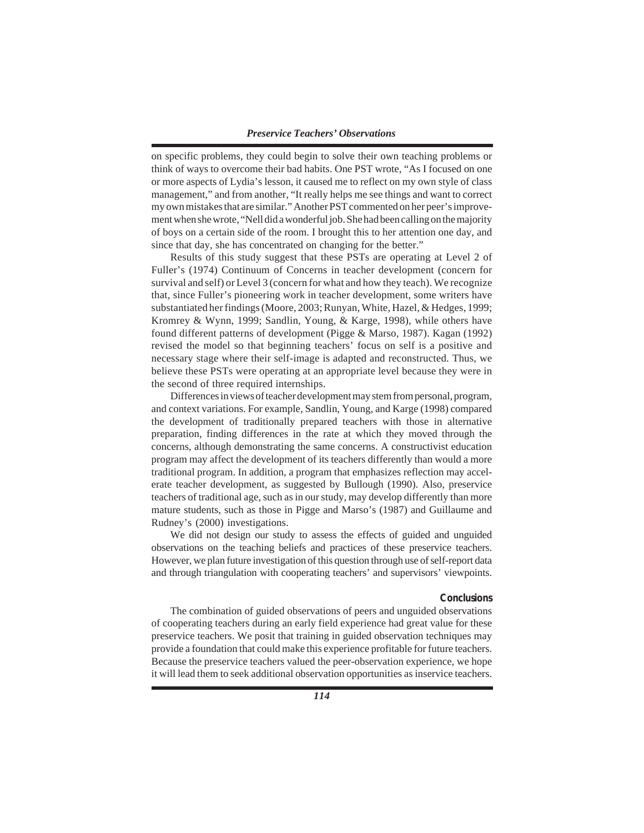on specific problems, they could begin to solve their own teaching problems or think of ways to overcome their bad habits. One PST wrote, "As I focused on one or more aspects of Lydia's lesson, it caused me to reflect on my own style of class management," and from another, "It really helps me see things and want to correct my own mistakes that are similar." Another PST commented on her peer's improvement when she wrote, "Nell did a wonderful job. She had been calling on the majority of boys on a certain side of the room. I brought this to her attention one day, and since that day, she has concentrated on changing for the better."

Results of this study suggest that these PSTs are operating at Level 2 of Fuller's (1974) Continuum of Concerns in teacher development (concern for survival and self) or Level 3 (concern for what and how they teach). We recognize that, since Fuller's pioneering work in teacher development, some writers have substantiated her findings (Moore, 2003; Runyan, White, Hazel, & Hedges, 1999; Kromrey & Wynn, 1999; Sandlin, Young, & Karge, 1998), while others have found different patterns of development (Pigge & Marso, 1987). Kagan (1992) revised the model so that beginning teachers' focus on self is a positive and necessary stage where their self-image is adapted and reconstructed. Thus, we believe these PSTs were operating at an appropriate level because they were in the second of three required internships.

Differences in views of teacher development may stem from personal, program, and context variations. For example, Sandlin, Young, and Karge (1998) compared the development of traditionally prepared teachers with those in alternative preparation, finding differences in the rate at which they moved through the concerns, although demonstrating the same concerns. A constructivist education program may affect the development of its teachers differently than would a more traditional program. In addition, a program that emphasizes reflection may accelerate teacher development, as suggested by Bullough (1990). Also, preservice teachers of traditional age, such as in our study, may develop differently than more mature students, such as those in Pigge and Marso's (1987) and Guillaume and Rudney's (2000) investigations.

We did not design our study to assess the effects of guided and unguided observations on the teaching beliefs and practices of these preservice teachers. However, we plan future investigation of this question through use of self-report data and through triangulation with cooperating teachers' and supervisors' viewpoints.

#### *Conclusions*

The combination of guided observations of peers and unguided observations of cooperating teachers during an early field experience had great value for these preservice teachers. We posit that training in guided observation techniques may provide a foundation that could make this experience profitable for future teachers. Because the preservice teachers valued the peer-observation experience, we hope it will lead them to seek additional observation opportunities as inservice teachers.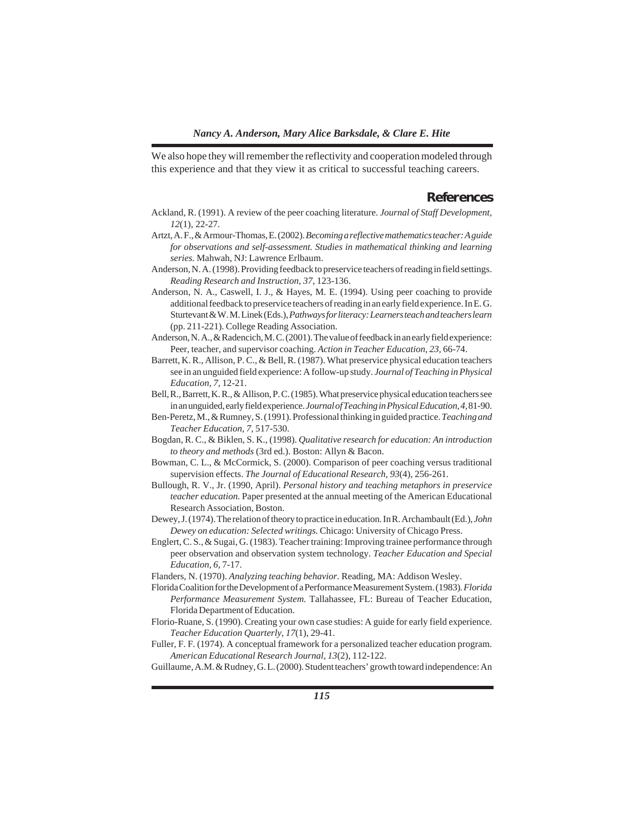We also hope they will remember the reflectivity and cooperation modeled through this experience and that they view it as critical to successful teaching careers.

## **References**

- Ackland, R. (1991). A review of the peer coaching literature. *Journal of Staff Development, 12*(1), 22-27.
- Artzt, A. F., & Armour-Thomas, E. (2002). *Becoming a reflective mathematics teacher: A guide for observations and self-assessment. Studies in mathematical thinking and learning series.* Mahwah, NJ: Lawrence Erlbaum.
- Anderson, N. A. (1998). Providing feedback to preservice teachers of reading in field settings. *Reading Research and Instruction, 37,* 123-136.
- Anderson, N. A., Caswell, I. J., & Hayes, M. E. (1994). Using peer coaching to provide additional feedback to preservice teachers of reading in an early field experience. In E. G. Sturtevant & W. M. Linek (Eds.), *Pathways for literacy: Learners teach and teachers learn* (pp. 211-221). College Reading Association.
- Anderson, N. A., & Radencich, M. C. (2001). The value of feedback in an early field experience: Peer, teacher, and supervisor coaching. *Action in Teacher Education, 23,* 66-74.
- Barrett, K. R., Allison, P. C., & Bell, R. (1987). What preservice physical education teachers see in an unguided field experience: A follow-up study. *Journal of Teaching in Physical Education, 7,* 12-21.
- Bell, R., Barrett, K. R., & Allison, P. C. (1985). What preservice physical education teachers see in an unguided, early field experience. *Journal of Teaching in Physical Education, 4,* 81-90.
- Ben-Peretz, M., & Rumney, S. (1991). Professional thinking in guided practice. *Teaching and Teacher Education, 7,* 517-530.
- Bogdan, R. C., & Biklen, S. K., (1998). *Qualitative research for education: An introduction to theory and methods* (3rd ed.). Boston: Allyn & Bacon.
- Bowman, C. L., & McCormick, S. (2000). Comparison of peer coaching versus traditional supervision effects. *The Journal of Educational Research, 93*(4), 256-261.
- Bullough, R. V., Jr. (1990, April). *Personal history and teaching metaphors in preservice teacher education.* Paper presented at the annual meeting of the American Educational Research Association, Boston.
- Dewey, J. (1974). The relation of theory to practice in education. In R. Archambault (Ed.), *John Dewey on education: Selected writings.* Chicago: University of Chicago Press.
- Englert, C. S., & Sugai, G. (1983). Teacher training: Improving trainee performance through peer observation and observation system technology. *Teacher Education and Special Education, 6,* 7-17.
- Flanders, N. (1970). *Analyzing teaching behavior.* Reading, MA: Addison Wesley.
- Florida Coalition for the Development of a Performance Measurement System. (1983)*. Florida Performance Measurement System.* Tallahassee, FL: Bureau of Teacher Education, Florida Department of Education.
- Florio-Ruane, S. (1990). Creating your own case studies: A guide for early field experience. *Teacher Education Quarterly, 17*(1), 29-41.
- Fuller, F. F. (1974). A conceptual framework for a personalized teacher education program. *American Educational Research Journal, 13*(2), 112-122.
- Guillaume, A.M. & Rudney, G. L. (2000). Student teachers' growth toward independence: An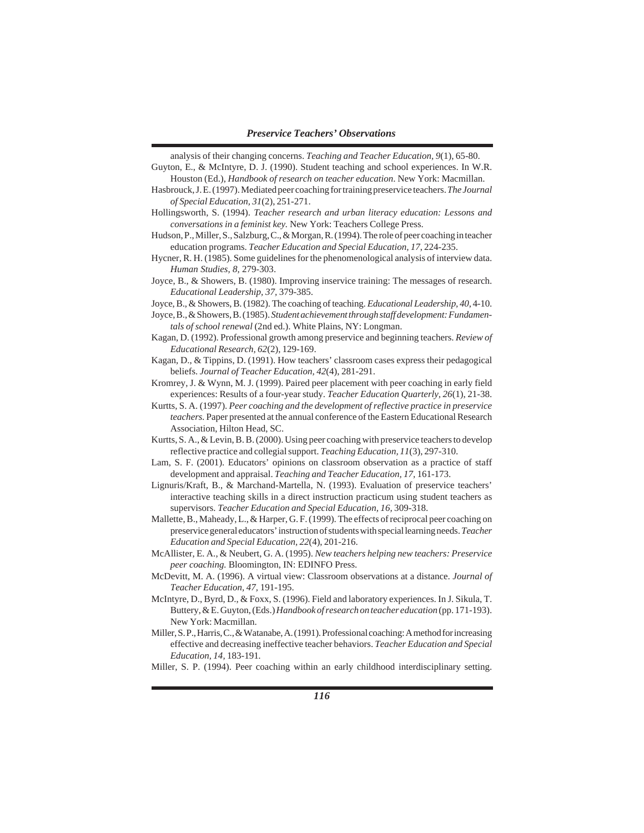- analysis of their changing concerns. *Teaching and Teacher Education, 9*(1), 65-80. Guyton, E., & McIntyre, D. J. (1990). Student teaching and school experiences. In W.R.
- Houston (Ed.), *Handbook of research on teacher education*. New York: Macmillan. Hasbrouck, J. E. (1997). Mediated peer coaching for training preservice teachers. *The Journal of Special Education, 31*(2), 251-271.
- Hollingsworth, S. (1994). *Teacher research and urban literacy education: Lessons and conversations in a feminist key.* New York: Teachers College Press.
- Hudson, P., Miller, S., Salzburg, C., & Morgan, R. (1994). The role of peer coaching in teacher education programs. *Teacher Education and Special Education, 17*, 224-235.
- Hycner, R. H. (1985). Some guidelines for the phenomenological analysis of interview data. *Human Studies, 8,* 279-303.
- Joyce, B., & Showers, B. (1980). Improving inservice training: The messages of research. *Educational Leadership, 37,* 379-385.
- Joyce, B., & Showers, B. (1982). The coaching of teaching. *Educational Leadership, 40*, 4-10.
- Joyce, B., & Showers, B. (1985). *Student achievement through staff development: Fundamentals of school renewal* (2nd ed.). White Plains, NY: Longman.
- Kagan, D. (1992). Professional growth among preservice and beginning teachers. *Review of Educational Research, 62*(2), 129-169.
- Kagan, D., & Tippins, D. (1991). How teachers' classroom cases express their pedagogical beliefs. *Journal of Teacher Education, 42*(4), 281-291.
- Kromrey, J. & Wynn, M. J. (1999). Paired peer placement with peer coaching in early field experiences: Results of a four-year study. *Teacher Education Quarterly, 26*(1), 21-38.
- Kurtts, S. A. (1997). *Peer coaching and the development of reflective practice in preservice teachers.* Paper presented at the annual conference of the Eastern Educational Research Association, Hilton Head, SC.
- Kurtts, S. A., & Levin, B. B. (2000). Using peer coaching with preservice teachers to develop reflective practice and collegial support. *Teaching Education, 11*(3), 297-310.
- Lam, S. F. (2001). Educators' opinions on classroom observation as a practice of staff development and appraisal. *Teaching and Teacher Education, 17,* 161-173.
- Lignuris/Kraft, B., & Marchand-Martella, N. (1993). Evaluation of preservice teachers' interactive teaching skills in a direct instruction practicum using student teachers as supervisors. *Teacher Education and Special Education, 16,* 309-318.
- Mallette, B., Maheady, L., & Harper, G. F. (1999). The effects of reciprocal peer coaching on preservice general educators' instruction of students with special learning needs. *Teacher Education and Special Education, 22*(4), 201-216.
- McAllister, E. A., & Neubert, G. A. (1995). *New teachers helping new teachers: Preservice peer coaching.* Bloomington, IN: EDINFO Press.
- McDevitt, M. A. (1996). A virtual view: Classroom observations at a distance. *Journal of Teacher Education, 47,* 191-195.
- McIntyre, D., Byrd, D., & Foxx, S. (1996). Field and laboratory experiences. In J. Sikula, T. Buttery, & E. Guyton, (Eds.) *Handbook of research on teacher education* (pp. 171-193). New York: Macmillan.
- Miller, S. P., Harris, C., & Watanabe, A. (1991). Professional coaching: A method for increasing effective and decreasing ineffective teacher behaviors. *Teacher Education and Special Education, 14,* 183-191*.*
- Miller, S. P. (1994). Peer coaching within an early childhood interdisciplinary setting.